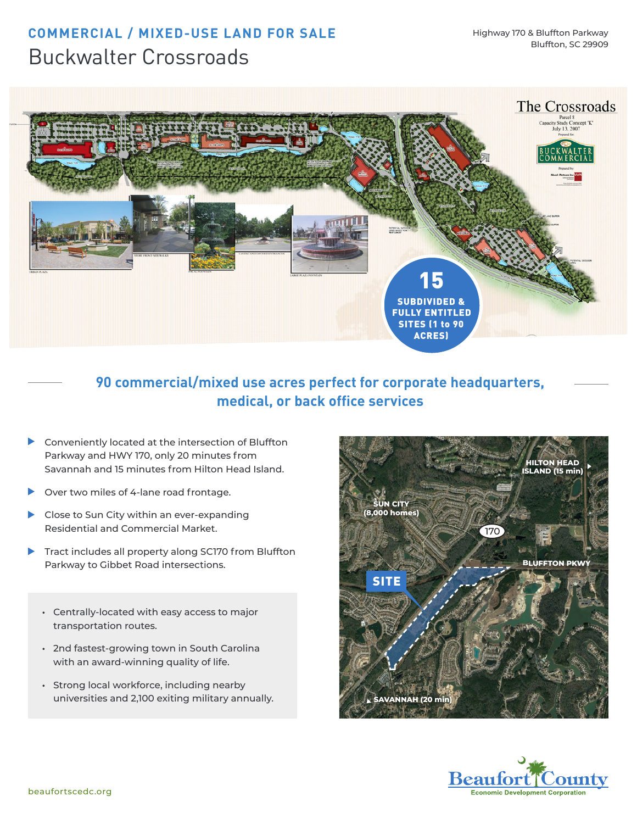## **COMMERCIAL / MIXED-USE LAND FOR SALE** Buckwalter Crossroads



### **90 commercial/mixed use acres perfect for corporate headquarters, medical, or back office services**

- Conveniently located at the intersection of Bluffton  $\blacktriangleright$ Parkway and HWY 170, only 20 minutes from Savannah and 15 minutes from Hilton Head Island.
- $\blacktriangleright$ Over two miles of 4-lane road frontage.
- Close to Sun City within an ever-expanding Residential and Commercial Market.
- Tract includes all property along SC170 from Bluffton ▶ Parkway to Gibbet Road intersections.
	- **•** Centrally-located with easy access to major transportation routes.
	- **•** 2nd fastest-growing town in South Carolina with an award-winning quality of life.
	- **•** Strong local workforce, including nearby universities and 2,100 exiting military annually.